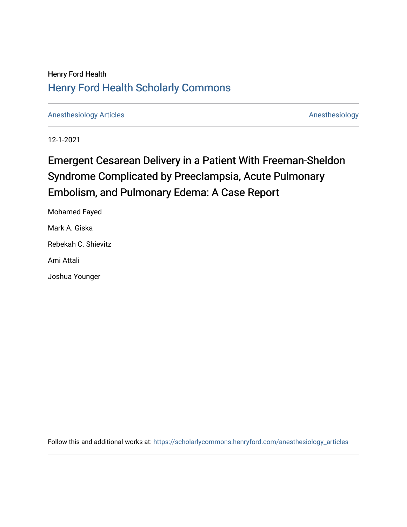# Henry Ford Health [Henry Ford Health Scholarly Commons](https://scholarlycommons.henryford.com/)

[Anesthesiology Articles](https://scholarlycommons.henryford.com/anesthesiology_articles) [Anesthesiology](https://scholarlycommons.henryford.com/anesthesiology) Articles

12-1-2021

# Emergent Cesarean Delivery in a Patient With Freeman-Sheldon Syndrome Complicated by Preeclampsia, Acute Pulmonary Embolism, and Pulmonary Edema: A Case Report

Mohamed Fayed Mark A. Giska

Rebekah C. Shievitz

Ami Attali

Joshua Younger

Follow this and additional works at: [https://scholarlycommons.henryford.com/anesthesiology\\_articles](https://scholarlycommons.henryford.com/anesthesiology_articles?utm_source=scholarlycommons.henryford.com%2Fanesthesiology_articles%2F132&utm_medium=PDF&utm_campaign=PDFCoverPages)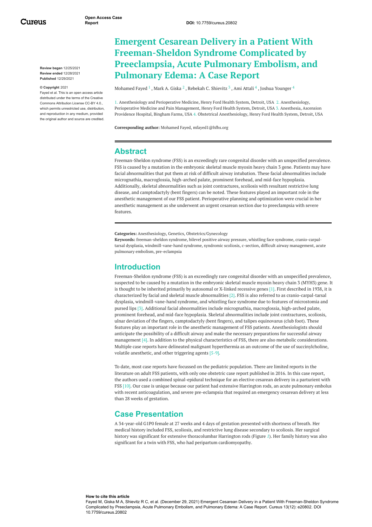Cureus

**Review began** 12/25/2021 **Review ended** 12/28/2021 **Published** 12/29/2021

#### **© Copyright** 2021

Fayed et al. This is an open access article distributed under the terms of the Creative Commons Attribution License CC-BY 4.0., which permits unrestricted use, distribution and reproduction in any medium, provided the original author and source are credited.

# <span id="page-1-0"></span>**Emergent Cesarean Delivery in a Patient With Freeman-Sheldon Syndrome Complicated by Preeclampsia, Acute Pulmonary Embolism, and Pulmonary Edema: A Case Report**

[Mohamed](https://www.cureus.com/users/290565-mohamed-fayed) Fayed  $^1$  , Mark A. [Giska](https://www.cureus.com/users/316520-mark-giska)  $^2$  , [Rebekah](https://www.cureus.com/users/316516-rebekah-shievitz) C. Shievitz  $^3$  , Ami [Attali](https://www.cureus.com/users/307777-ami-attali)  $^4$  , Joshua [Younger](https://www.cureus.com/users/307776-joshua-younger)  $^4$ 

1. Anesthesiology and Perioperative Medicine, Henry Ford Health System, Detroit, USA 2. Anesthesiology, Perioperative Medicine and Pain Management, Henry Ford Health System, Detroit, USA 3. Anesthesia, Ascension Providence Hospital, Bingham Farms, USA 4. Obstetrical Anesthesiology, Henry Ford Health System, Detroit, USA

**Corresponding author:** Mohamed Fayed, mfayed1@hfhs.org

#### **Abstract**

Freeman-Sheldon syndrome (FSS) is an exceedingly rare congenital disorder with an unspecified prevalence. FSS is caused by a mutation in the embryonic skeletal muscle myosin heavy chain 3 gene. Patients may have facial abnormalities that put them at risk of difficult airway intubation. These facial abnormalities include micrognathia, macroglossia, high-arched palate, prominent forehead, and mid-face hypoplasia. Additionally, skeletal abnormalities such as joint contractures, scoliosis with resultant restrictive lung disease, and camptodactyly (bent fingers) can be noted. These features played an important role in the anesthetic management of our FSS patient. Perioperative planning and optimization were crucial in her anesthetic management as she underwent an urgent cesarean section due to preeclampsia with severe features.

**Categories:** Anesthesiology, Genetics, Obstetrics/Gynecology

**Keywords:** freeman-sheldon syndrome, bilevel positive airway pressure, whistling face syndrome, cranio-carpaltarsal dysplasia, windmill-vane-hand syndrome, syndromic scoliosis, c-section, difficult airway management, acute pulmonary embolism, pre-eclampsia

### **Introduction**

Freeman-Sheldon syndrome (FSS) is an exceedingly rare congenital disorder with an unspecified prevalence, suspected to be caused by a mutation in the embryonic skeletal muscle myosin heavy chain 3 (MYH3) gene. It is thought to be inherited primarily by autosomal or X-linked recessive genes [1]. First described in 1938, it is characterized by facial and skeletal muscle abnormalities [2]. FSS is also referred to as cranio-carpal-tarsal dysplasia, windmill-vane-hand syndrome, and whistling face syndrome due to features of microstomia and pursed lips [3]. Additional facial abnormalities include micrognathia, macroglossia, high-arched palate, prominent forehead, and mid-face hypoplasia. Skeletal abnormalities include joint contractures, scoliosis, ulnar deviation of the fingers, camptodactyly (bent fingers), and talipes equinovarus (club foot). These features play an important role in the anesthetic management of FSS patients. Anesthesiologists should anticipate the possibility of a difficult airway and make the necessary preparations for successful airway management [4]. In addition to the physical characteristics of FSS, there are also metabolic considerations. Multiple case reports have delineated malignant hyperthermia as an outcome of the use of succinylcholine, volatile anesthetic, and other triggering agents [5-9].

To date, most case reports have focussed on the pediatric population. There are limited reports in the literature on adult FSS patients, with only one obstetric case report published in 2016. In this case report, the authors used a combined spinal-epidural technique for an elective cesarean delivery in a parturient with FSS [10]. Our case is unique because our patient had extensive Harrington rods, an acute pulmonary embolus with recent anticoagulation, and severe pre-eclampsia that required an emergency cesarean delivery at less than 28 weeks of gestation.

### **Case Presentation**

A 34-year-old G1P0 female at 27 weeks and 4 days of gestation presented with shortness of breath. Her medical history included FSS, scoliosis, and restrictive lung disease secondary to scoliosis. Her surgical history was significant for extensive thoracolumbar Harrington rods (Figure *[1](#page-1-0)*). Her family history was also significant for a twin with FSS, who had peripartum cardiomyopathy.

#### **How to cite this article**

Fayed M, Giska M A, Shievitz R C, et al. (December 29, 2021) Emergent Cesarean Delivery in a Patient With Freeman-Sheldon Syndrome Complicated by Preeclampsia, Acute Pulmonary Embolism, and Pulmonary Edema: A Case Report. Cureus 13(12): e20802. DOI 10.7759/cureus.20802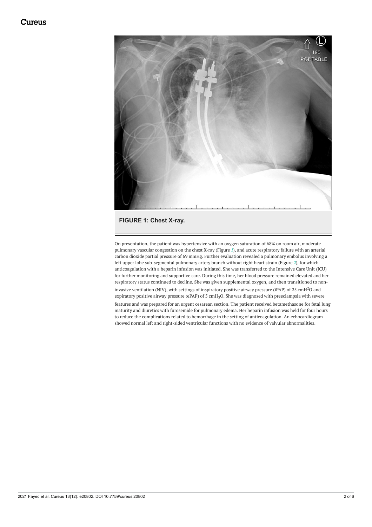<span id="page-2-0"></span>

**FIGURE 1: Chest X-ray.**

On presentation, the patient was hypertensive with an oxygen saturation of 68% on room air, moderate pulmonary vascular congestion on the chest X-ray (Figure *[1](#page-1-0)*), and acute respiratory failure with an arterial carbon dioxide partial pressure of 69 mmHg. Further evaluation revealed a pulmonary embolus involving a left upper lobe sub-segmental pulmonary artery branch without right heart strain (Figure *[2](#page-2-0)*), for which anticoagulation with a heparin infusion was initiated. She was transferred to the Intensive Care Unit (ICU) for further monitoring and supportive care. During this time, her blood pressure remained elevated and her respiratory status continued to decline. She was given supplemental oxygen, and then transitioned to noninvasive ventilation (NIV), with settings of inspiratory positive airway pressure (iPAP) of 25  $\rm cmH^2O$  and expiratory positive airway pressure (ePAP) of 5 cmH<sub>2</sub>O. She was diagnosed with preeclampsia with severe features and was prepared for an urgent cesarean section. The patient received betamethasone for fetal lung maturity and diuretics with furosemide for pulmonary edema. Her heparin infusion was held for four hours to reduce the complications related to hemorrhage in the setting of anticoagulation. An echocardiogram showed normal left and right-sided ventricular functions with no evidence of valvular abnormalities.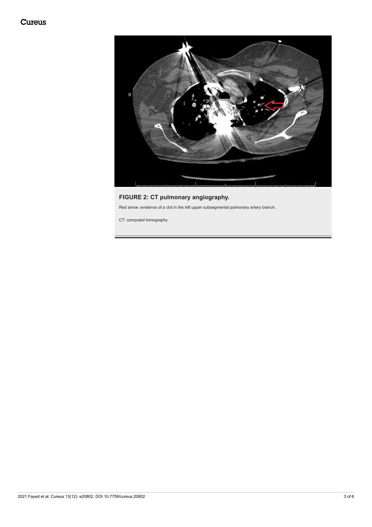# Cureus



# **FIGURE 2: CT pulmonary angiography.**

Red arrow: evidence of a clot in the left upper subsegmental pulmonary artery branch.

CT: computed tomography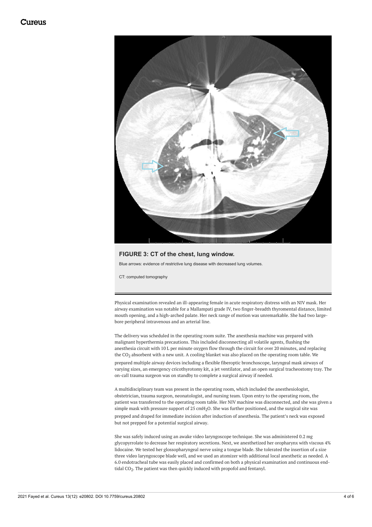<span id="page-4-0"></span>

#### **FIGURE 3: CT of the chest, lung window.**

Blue arrows: evidence of restrictive lung disease with decreased lung volumes.

CT: computed tomography

Physical examination revealed an ill-appearing female in acute respiratory distress with an NIV mask. Her airway examination was notable for a Mallampati grade IV, two finger-breadth thyromental distance, limited mouth opening, and a high-arched palate. Her neck range of motion was unremarkable. She had two largebore peripheral intravenous and an arterial line.

The delivery was scheduled in the operating room suite. The anesthesia machine was prepared with malignant hyperthermia precautions. This included disconnecting all volatile agents, flushing the anesthesia circuit with 10 L per minute oxygen flow through the circuit for over 20 minutes, and replacing the CO<sub>2</sub> absorbent with a new unit. A cooling blanket was also placed on the operating room table. We prepared multiple airway devices including a flexible fiberoptic bronchoscope, laryngeal mask airways of varying sizes, an emergency cricothyrotomy kit, a jet ventilator, and an open surgical tracheostomy tray. The on-call trauma surgeon was on standby to complete a surgical airway if needed.

A multidisciplinary team was present in the operating room, which included the anesthesiologist, obstetrician, trauma surgeon, neonatologist, and nursing team. Upon entry to the operating room, the patient was transferred to the operating room table. Her NIV machine was disconnected, and she was given a simple mask with pressure support of 25 cmH2O. She was further positioned, and the surgical site was prepped and draped for immediate incision after induction of anesthesia. The patient's neck was exposed but not prepped for a potential surgical airway.

She was safely induced using an awake video laryngoscope technique. She was administered 0.2 mg glycopyrrolate to decrease her respiratory secretions. Next, we anesthetized her oropharynx with viscous 4% lidocaine. We tested her glossopharyngeal nerve using a tongue blade. She tolerated the insertion of a size three video laryngoscope blade well, and we used an atomizer with additional local anesthetic as needed. A 6.0 endotracheal tube was easily placed and confirmed on both a physical examination and continuous endtidal CO $_2$ . The patient was then quickly induced with propofol and fentanyl.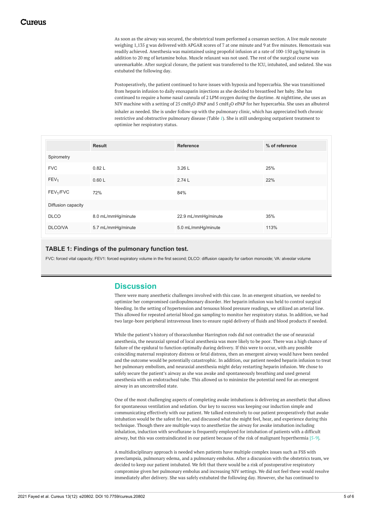As soon as the airway was secured, the obstetrical team performed a cesarean section. A live male neonate weighing 1,135 g was delivered with APGAR scores of 7 at one minute and 9 at five minutes. Hemostasis was readily achieved. Anesthesia was maintained using propofol infusion at a rate of 100-150 µg/kg/minute in addition to 20 mg of ketamine bolus. Muscle relaxant was not used. The rest of the surgical course was unremarkable. After surgical closure, the patient was transferred to the ICU, intubated, and sedated. She was extubated the following day.

Postoperatively, the patient continued to have issues with hypoxia and hypercarbia. She was transitioned from heparin infusion to daily enoxaparin injections as she decided to breastfeed her baby. She has continued to require a home nasal cannula of 2 LPM oxygen during the daytime. At nighttime, she uses an NIV machine with a setting of 25 cmH<sub>2</sub>O iPAP and 5 cmH<sub>2</sub>O ePAP for her hypercarbia. She uses an albuterol inhaler as needed. She is under follow-up with the pulmonary clinic, which has appreciated both chronic restrictive and obstructive pulmonary disease (Table *[1](#page-4-0)*). She is still undergoing outpatient treatment to optimize her respiratory status.

|                       | <b>Result</b>      | <b>Reference</b>    | % of reference |
|-----------------------|--------------------|---------------------|----------------|
| Spirometry            |                    |                     |                |
| <b>FVC</b>            | 0.82L              | 3.26 L              | 25%            |
| FEV <sub>1</sub>      | 0.60L              | 2.74L               | 22%            |
| FEV <sub>1</sub> /FVC | 72%                | 84%                 |                |
| Diffusion capacity    |                    |                     |                |
| <b>DLCO</b>           | 8.0 mL/mmHg/minute | 22.9 mL/mmHg/minute | 35%            |
| <b>DLCO/VA</b>        | 5.7 mL/mmHg/minute | 5.0 mL/mmHg/minute  | 113%           |

#### **TABLE 1: Findings of the pulmonary function test.**

FVC: forced vital capacity; FEV1: forced expiratory volume in the first second; DLCO: diffusion capacity for carbon monoxide; VA: alveolar volume

### **Discussion**

There were many anesthetic challenges involved with this case. In an emergent situation, we needed to optimize her compromised cardiopulmonary disorder. Her heparin infusion was held to control surgical bleeding. In the setting of hypertension and tenuous blood pressure readings, we utilized an arterial line. This allowed for repeated arterial blood gas sampling to monitor her respiratory status. In addition, we had two large-bore peripheral intravenous lines to ensure rapid delivery of fluids and blood products if needed.

While the patient's history of thoracolumbar Harrington rods did not contradict the use of neuraxial anesthesia, the neuraxial spread of local anesthesia was more likely to be poor. There was a high chance of failure of the epidural to function optimally during delivery. If this were to occur, with any possible coinciding maternal respiratory distress or fetal distress, then an emergent airway would have been needed and the outcome would be potentially catastrophic. In addition, our patient needed heparin infusion to treat her pulmonary embolism, and neuraxial anesthesia might delay restarting heparin infusion. We chose to safely secure the patient's airway as she was awake and spontaneously breathing and used general anesthesia with an endotracheal tube. This allowed us to minimize the potential need for an emergent airway in an uncontrolled state.

One of the most challenging aspects of completing awake intubations is delivering an anesthetic that allows for spontaneous ventilation and sedation. Our key to success was keeping our induction simple and communicating effectively with our patient. We talked extensively to our patient preoperatively that awake intubation would be the safest for her, and discussed what she might feel, hear, and experience during this technique. Though there are multiple ways to anesthetize the airway for awake intubation including inhalation, induction with sevoflurane is frequently employed for intubation of patients with a difficult airway, but this was contraindicated in our patient because of the risk of malignant hyperthermia [5-9].

A multidisciplinary approach is needed when patients have multiple complex issues such as FSS with preeclampsia, pulmonary edema, and a pulmonary embolus. After a discussion with the obstetrics team, we decided to keep our patient intubated. We felt that there would be a risk of postoperative respiratory compromise given her pulmonary embolus and increasing NIV settings. We did not feel these would resolve immediately after delivery. She was safely extubated the following day. However, she has continued to